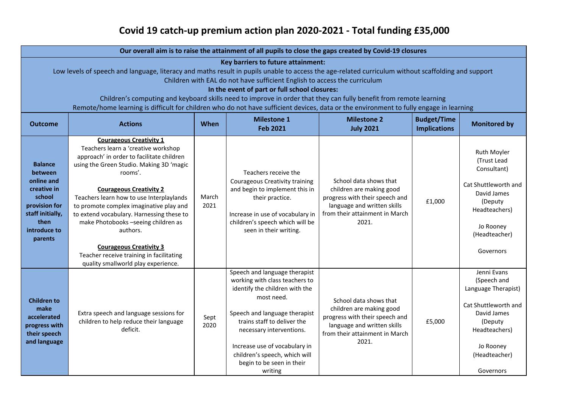## **Covid 19 catch-up premium action plan 2020-2021 - Total funding £35,000**

| Our overall aim is to raise the attainment of all pupils to close the gaps created by Covid-19 closures                                                                                                                                                                                                                                                                                                                                                                                                                                                                                |                                                                                                                                                                                                                                                                                                                                                                                                                                                                                                                         |               |                                                                                                                                                                                                                                                                                                                       |                                                                                                                                                                |                                           |                                                                                                                                                                 |  |  |  |  |
|----------------------------------------------------------------------------------------------------------------------------------------------------------------------------------------------------------------------------------------------------------------------------------------------------------------------------------------------------------------------------------------------------------------------------------------------------------------------------------------------------------------------------------------------------------------------------------------|-------------------------------------------------------------------------------------------------------------------------------------------------------------------------------------------------------------------------------------------------------------------------------------------------------------------------------------------------------------------------------------------------------------------------------------------------------------------------------------------------------------------------|---------------|-----------------------------------------------------------------------------------------------------------------------------------------------------------------------------------------------------------------------------------------------------------------------------------------------------------------------|----------------------------------------------------------------------------------------------------------------------------------------------------------------|-------------------------------------------|-----------------------------------------------------------------------------------------------------------------------------------------------------------------|--|--|--|--|
| Key barriers to future attainment:<br>Low levels of speech and language, literacy and maths result in pupils unable to access the age-related curriculum without scaffolding and support<br>Children with EAL do not have sufficient English to access the curriculum<br>In the event of part or full school closures:<br>Children's computing and keyboard skills need to improve in order that they can fully benefit from remote learning<br>Remote/home learning is difficult for children who do not have sufficient devices, data or the environment to fully engage in learning |                                                                                                                                                                                                                                                                                                                                                                                                                                                                                                                         |               |                                                                                                                                                                                                                                                                                                                       |                                                                                                                                                                |                                           |                                                                                                                                                                 |  |  |  |  |
| <b>Outcome</b>                                                                                                                                                                                                                                                                                                                                                                                                                                                                                                                                                                         | <b>Actions</b>                                                                                                                                                                                                                                                                                                                                                                                                                                                                                                          | When          | <b>Milestone 1</b><br><b>Feb 2021</b>                                                                                                                                                                                                                                                                                 | <b>Milestone 2</b><br><b>July 2021</b>                                                                                                                         | <b>Budget/Time</b><br><b>Implications</b> | <b>Monitored by</b>                                                                                                                                             |  |  |  |  |
| <b>Balance</b><br><b>between</b><br>online and<br>creative in<br>school<br>provision for<br>staff initially,<br>then<br>introduce to<br>parents                                                                                                                                                                                                                                                                                                                                                                                                                                        | <b>Courageous Creativity 1</b><br>Teachers learn a 'creative workshop<br>approach' in order to facilitate children<br>using the Green Studio. Making 3D 'magic<br>rooms'.<br><b>Courageous Creativity 2</b><br>Teachers learn how to use Interplaylands<br>to promote complex imaginative play and<br>to extend vocabulary. Harnessing these to<br>make Photobooks -seeing children as<br>authors.<br><b>Courageous Creativity 3</b><br>Teacher receive training in facilitating<br>quality smallworld play experience. | March<br>2021 | Teachers receive the<br><b>Courageous Creativity training</b><br>and begin to implement this in<br>their practice.<br>Increase in use of vocabulary in<br>children's speech which will be<br>seen in their writing.                                                                                                   | School data shows that<br>children are making good<br>progress with their speech and<br>language and written skills<br>from their attainment in March<br>2021. | £1,000                                    | Ruth Moyler<br>(Trust Lead<br>Consultant)<br>Cat Shuttleworth and<br>David James<br>(Deputy<br>Headteachers)<br>Jo Rooney<br>(Headteacher)<br>Governors         |  |  |  |  |
| <b>Children to</b><br>make<br>accelerated<br>progress with<br>their speech<br>and language                                                                                                                                                                                                                                                                                                                                                                                                                                                                                             | Extra speech and language sessions for<br>children to help reduce their language<br>deficit.                                                                                                                                                                                                                                                                                                                                                                                                                            | Sept<br>2020  | Speech and language therapist<br>working with class teachers to<br>identify the children with the<br>most need.<br>Speech and language therapist<br>trains staff to deliver the<br>necessary interventions.<br>Increase use of vocabulary in<br>children's speech, which will<br>begin to be seen in their<br>writing | School data shows that<br>children are making good<br>progress with their speech and<br>language and written skills<br>from their attainment in March<br>2021. | £5,000                                    | Jenni Evans<br>(Speech and<br>Language Therapist)<br>Cat Shuttleworth and<br>David James<br>(Deputy<br>Headteachers)<br>Jo Rooney<br>(Headteacher)<br>Governors |  |  |  |  |